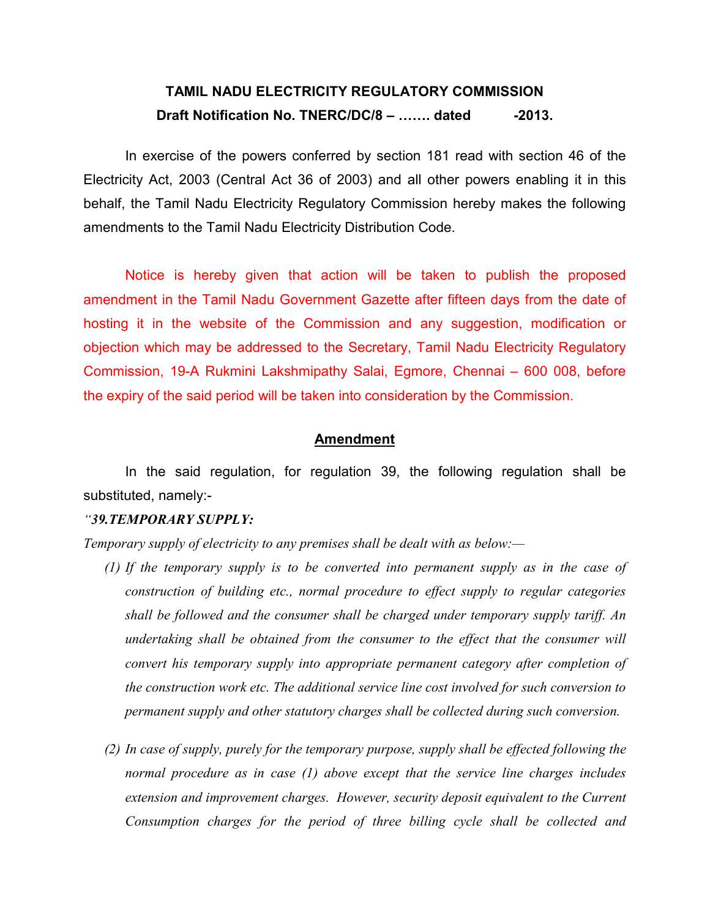# TAMIL NADU ELECTRICITY REGULATORY COMMISSION Draft Notification No. TNERC/DC/8 – ....... dated -2013.

In exercise of the powers conferred by section 181 read with section 46 of the Electricity Act, 2003 (Central Act 36 of 2003) and all other powers enabling it in this behalf, the Tamil Nadu Electricity Regulatory Commission hereby makes the following amendments to the Tamil Nadu Electricity Distribution Code.

Notice is hereby given that action will be taken to publish the proposed amendment in the Tamil Nadu Government Gazette after fifteen days from the date of hosting it in the website of the Commission and any suggestion, modification or objection which may be addressed to the Secretary, Tamil Nadu Electricity Regulatory Commission, 19-A Rukmini Lakshmipathy Salai, Egmore, Chennai – 600 008, before the expiry of the said period will be taken into consideration by the Commission.

#### **Amendment**

 In the said regulation, for regulation 39, the following regulation shall be substituted, namely:-

#### "39.TEMPORARY SUPPLY:

Temporary supply of electricity to any premises shall be dealt with as below:—

- (1) If the temporary supply is to be converted into permanent supply as in the case of construction of building etc., normal procedure to effect supply to regular categories shall be followed and the consumer shall be charged under temporary supply tariff. An undertaking shall be obtained from the consumer to the effect that the consumer will convert his temporary supply into appropriate permanent category after completion of the construction work etc. The additional service line cost involved for such conversion to permanent supply and other statutory charges shall be collected during such conversion.
- (2) In case of supply, purely for the temporary purpose, supply shall be effected following the normal procedure as in case (1) above except that the service line charges includes extension and improvement charges. However, security deposit equivalent to the Current Consumption charges for the period of three billing cycle shall be collected and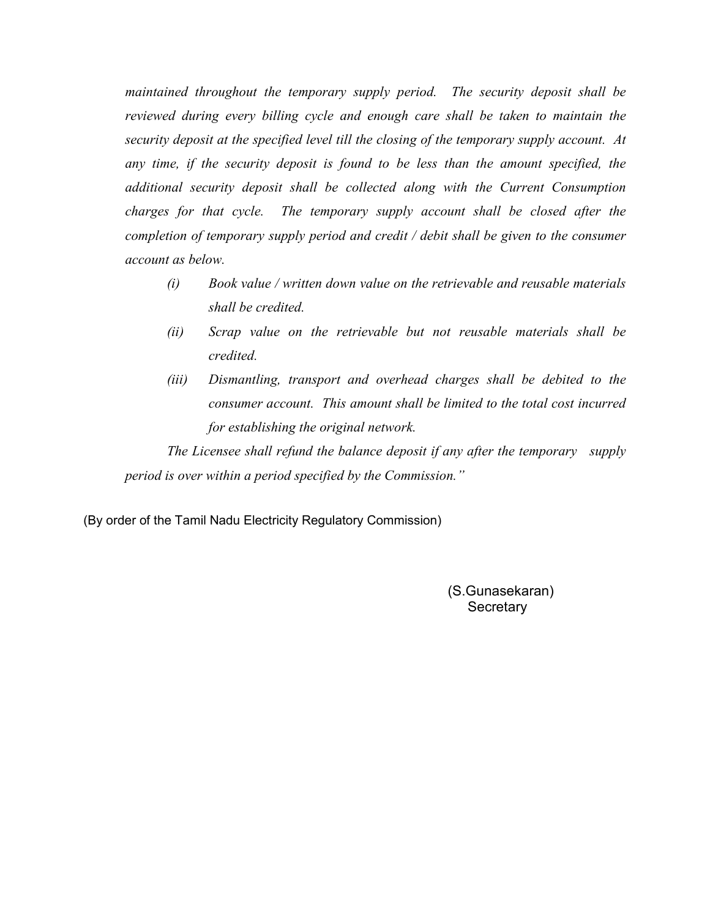maintained throughout the temporary supply period. The security deposit shall be reviewed during every billing cycle and enough care shall be taken to maintain the security deposit at the specified level till the closing of the temporary supply account. At any time, if the security deposit is found to be less than the amount specified, the additional security deposit shall be collected along with the Current Consumption charges for that cycle. The temporary supply account shall be closed after the completion of temporary supply period and credit / debit shall be given to the consumer account as below.

- (i) Book value / written down value on the retrievable and reusable materials shall be credited.
- (ii) Scrap value on the retrievable but not reusable materials shall be credited.
- (iii) Dismantling, transport and overhead charges shall be debited to the consumer account. This amount shall be limited to the total cost incurred for establishing the original network.

The Licensee shall refund the balance deposit if any after the temporary supply period is over within a period specified by the Commission."

(By order of the Tamil Nadu Electricity Regulatory Commission)

(S.Gunasekaran) **Secretary**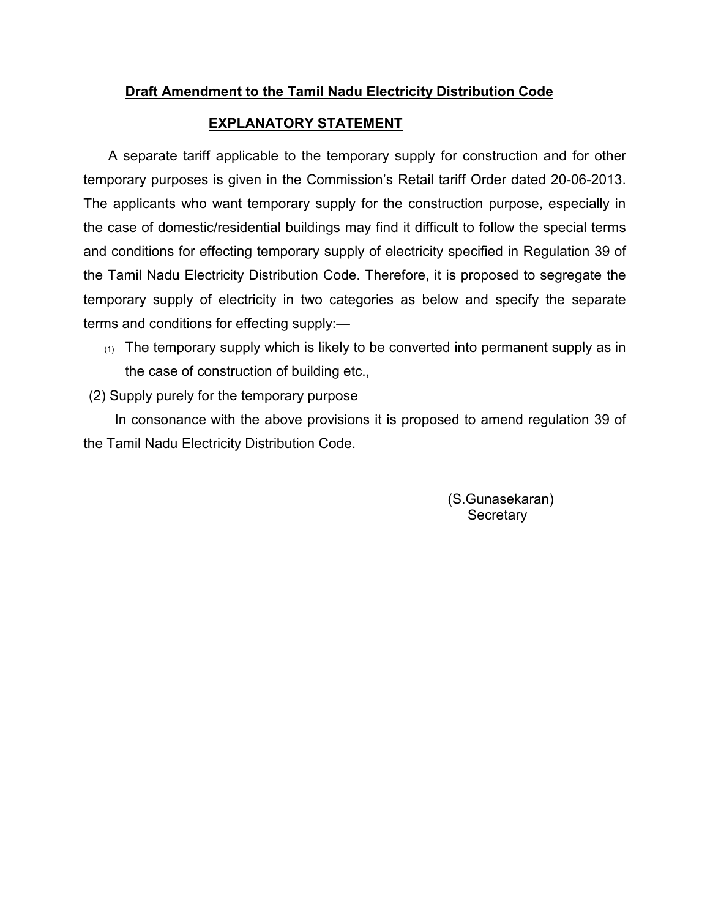### Draft Amendment to the Tamil Nadu Electricity Distribution Code

### EXPLANATORY STATEMENT

 A separate tariff applicable to the temporary supply for construction and for other temporary purposes is given in the Commission's Retail tariff Order dated 20-06-2013. The applicants who want temporary supply for the construction purpose, especially in the case of domestic/residential buildings may find it difficult to follow the special terms and conditions for effecting temporary supply of electricity specified in Regulation 39 of the Tamil Nadu Electricity Distribution Code. Therefore, it is proposed to segregate the temporary supply of electricity in two categories as below and specify the separate terms and conditions for effecting supply:—

- $(1)$  The temporary supply which is likely to be converted into permanent supply as in the case of construction of building etc.,
- (2) Supply purely for the temporary purpose

 In consonance with the above provisions it is proposed to amend regulation 39 of the Tamil Nadu Electricity Distribution Code.

> (S.Gunasekaran) **Secretary**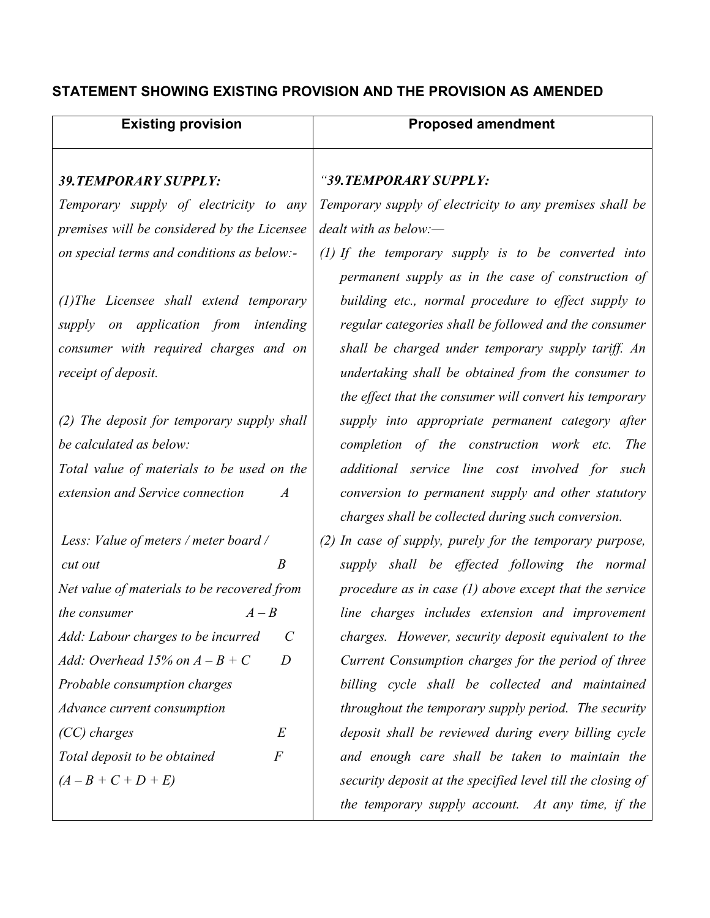## STATEMENT SHOWING EXISTING PROVISION AND THE PROVISION AS AMENDED

| <b>Existing provision</b>                                   | <b>Proposed amendment</b>                                   |
|-------------------------------------------------------------|-------------------------------------------------------------|
|                                                             | "39. TEMPORARY SUPPLY:                                      |
| <b>39. TEMPORARY SUPPLY:</b>                                |                                                             |
| Temporary supply of electricity to any                      | Temporary supply of electricity to any premises shall be    |
| premises will be considered by the Licensee                 | $dealt$ with as below:-                                     |
| on special terms and conditions as below:-                  | (1) If the temporary supply is to be converted into         |
|                                                             | permanent supply as in the case of construction of          |
| $(1)$ The Licensee shall extend temporary                   | building etc., normal procedure to effect supply to         |
| supply on application from intending                        | regular categories shall be followed and the consumer       |
| consumer with required charges and on                       | shall be charged under temporary supply tariff. An          |
| receipt of deposit.                                         | undertaking shall be obtained from the consumer to          |
|                                                             | the effect that the consumer will convert his temporary     |
| (2) The deposit for temporary supply shall                  | supply into appropriate permanent category after            |
| be calculated as below:                                     | completion of the construction work etc. The                |
| Total value of materials to be used on the                  | additional service line cost involved for such              |
| extension and Service connection<br>$\overline{A}$          | conversion to permanent supply and other statutory          |
|                                                             | charges shall be collected during such conversion.          |
| Less: Value of meters / meter board /                       | $(2)$ In case of supply, purely for the temporary purpose,  |
| B<br>cut out                                                | supply shall be effected following the normal               |
| Net value of materials to be recovered from                 | procedure as in case $(1)$ above except that the service    |
| the consumer<br>$A - B$                                     | line charges includes extension and improvement             |
| $\mathcal{C}_{0}^{0}$<br>Add: Labour charges to be incurred | charges. However, security deposit equivalent to the        |
| Add: Overhead 15% on $A - B + C$<br>$\boldsymbol{D}$        | Current Consumption charges for the period of three         |
| Probable consumption charges                                | billing cycle shall be collected and maintained             |
| Advance current consumption                                 | throughout the temporary supply period. The security        |
| (CC) charges<br>E                                           | deposit shall be reviewed during every billing cycle        |
| $\boldsymbol{F}$<br>Total deposit to be obtained            | and enough care shall be taken to maintain the              |
| $(A - B + C + D + E)$                                       | security deposit at the specified level till the closing of |
|                                                             | the temporary supply account. At any time, if the           |